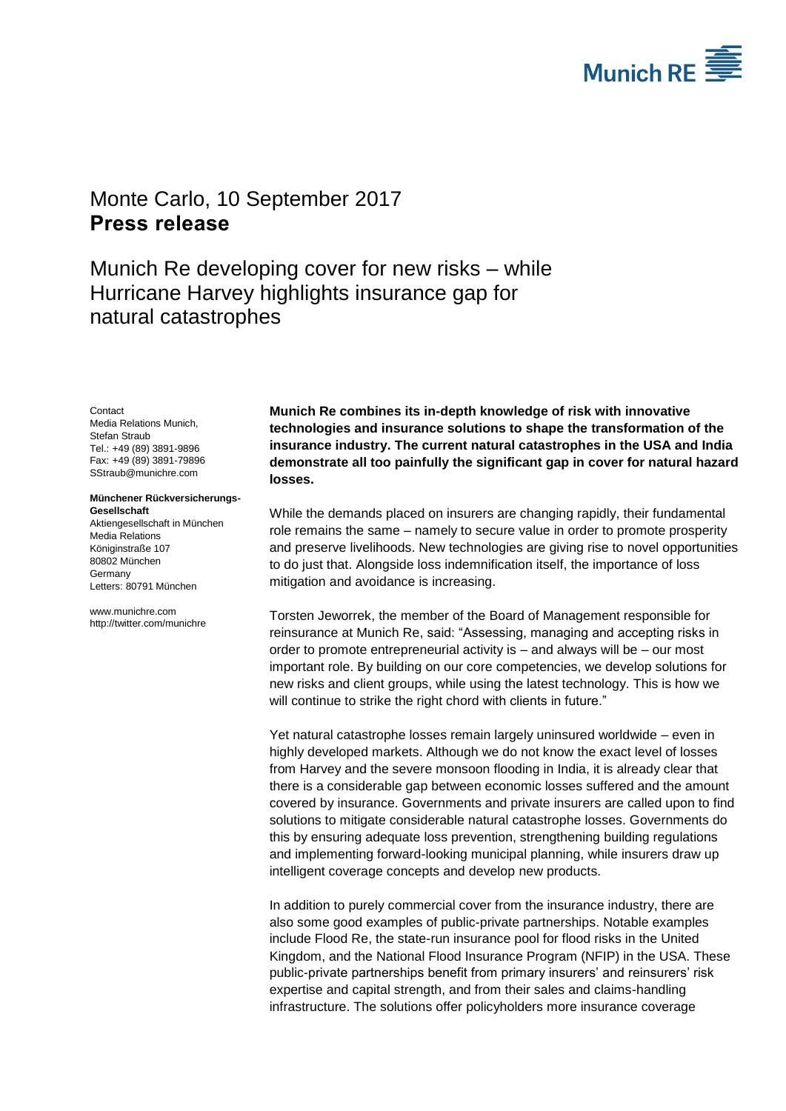

## <span id="page-0-1"></span><span id="page-0-0"></span>Monte Carlo, 10 September 2017 **Press release**

Munich Re developing cover for new risks – while Hurricane Harvey highlights insurance gap for natural catastrophes

<span id="page-0-3"></span><span id="page-0-2"></span>**Contact** Media Relations Munich, Stefan Straub Tel.: +49 (89) 3891-9896 Fax: +49 (89) 3891-79896 SStraub@munichre.com

## **Münchener Rückversicherungs-Gesellschaft**

Aktiengesellschaft in München Media Relations Königinstraße 107 80802 München **Germany** Letters: 80791 München

www.munichre.com http://twitter.com/munichre

**Munich Re combines its in-depth knowledge of risk with innovative technologies and insurance solutions to shape the transformation of the insurance industry. The current natural catastrophes in the USA and India demonstrate all too painfully the significant gap in cover for natural hazard losses.** 

While the demands placed on insurers are changing rapidly, their fundamental role remains the same – namely to secure value in order to promote prosperity and preserve livelihoods. New technologies are giving rise to novel opportunities to do just that. Alongside loss indemnification itself, the importance of loss mitigation and avoidance is increasing.

Torsten Jeworrek, the member of the Board of Management responsible for reinsurance at Munich Re, said: "Assessing, managing and accepting risks in order to promote entrepreneurial activity is – and always will be – our most important role. By building on our core competencies, we develop solutions for new risks and client groups, while using the latest technology. This is how we will continue to strike the right chord with clients in future."

Yet natural catastrophe losses remain largely uninsured worldwide – even in highly developed markets. Although we do not know the exact level of losses from Harvey and the severe monsoon flooding in India, it is already clear that there is a considerable gap between economic losses suffered and the amount covered by insurance. Governments and private insurers are called upon to find solutions to mitigate considerable natural catastrophe losses. Governments do this by ensuring adequate loss prevention, strengthening building regulations and implementing forward-looking municipal planning, while insurers draw up intelligent coverage concepts and develop new products.

In addition to purely commercial cover from the insurance industry, there are also some good examples of public-private partnerships. Notable examples include Flood Re, the state-run insurance pool for flood risks in the United Kingdom, and the National Flood Insurance Program (NFIP) in the USA. These public-private partnerships benefit from primary insurers' and reinsurers' risk expertise and capital strength, and from their sales and claims-handling infrastructure. The solutions offer policyholders more insurance coverage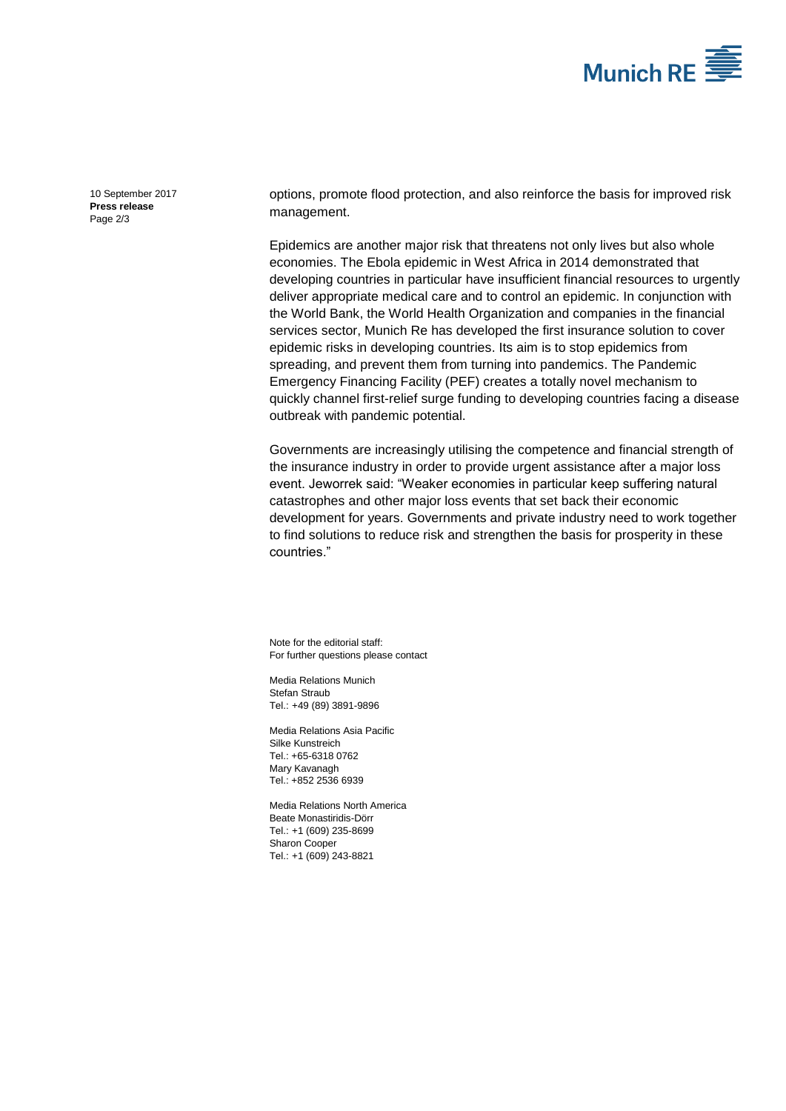

[10 September 2017](#page-0-0) **Press [release](#page-0-1)** Page 2/3

options, promote flood protection, and also reinforce the basis for improved risk management.

Epidemics are another major risk that threatens not only lives but also whole economies. The Ebola epidemic in West Africa in 2014 demonstrated that developing countries in particular have insufficient financial resources to urgently deliver appropriate medical care and to control an epidemic. In conjunction with the World Bank, the World Health Organization and companies in the financial services sector, Munich Re has developed the first insurance solution to cover epidemic risks in developing countries. Its aim is to stop epidemics from spreading, and prevent them from turning into pandemics. The Pandemic Emergency Financing Facility (PEF) creates a totally novel mechanism to quickly channel first-relief surge funding to developing countries facing a disease outbreak with pandemic potential.

Governments are increasingly utilising the competence and financial strength of the insurance industry in order to provide urgent assistance after a major loss event. Jeworrek said: "Weaker economies in particular keep suffering natural catastrophes and other major loss events that set back their economic development for years. Governments and private industry need to work together to find solutions to reduce risk and strengthen the basis for prosperity in these countries."

Note for the editorial staff: For further questions please contact

Media Relations Munich [Stefan Straub](#page-0-2) Tel.: +49 (89) 389[1-9896](#page-0-3)

Media Relations Asia Pacific Silke Kunstreich Tel.: +65-6318 0762 Mary Kavanagh Tel.: +852 2536 6939

Media Relations North America Beate Monastiridis-Dörr Tel.: +1 (609) 235-8699 Sharon Cooper Tel.: +1 (609) 243-8821